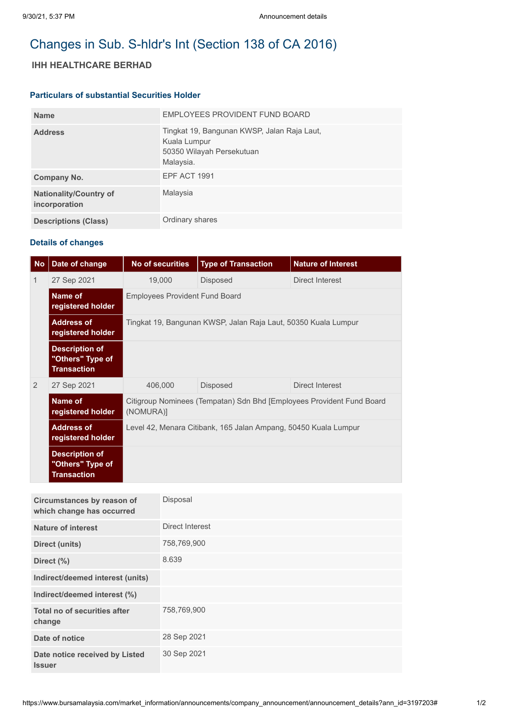# Changes in Sub. S-hldr's Int (Section 138 of CA 2016)

## **IHH HEALTHCARE BERHAD**

#### **Particulars of substantial Securities Holder**

| <b>Name</b>                                    | EMPLOYEES PROVIDENT FUND BOARD                                                                        |
|------------------------------------------------|-------------------------------------------------------------------------------------------------------|
| <b>Address</b>                                 | Tingkat 19, Bangunan KWSP, Jalan Raja Laut,<br>Kuala Lumpur<br>50350 Wilayah Persekutuan<br>Malaysia. |
| Company No.                                    | EPF ACT 1991                                                                                          |
| <b>Nationality/Country of</b><br>incorporation | Malaysia                                                                                              |
| <b>Descriptions (Class)</b>                    | Ordinary shares                                                                                       |

### **Details of changes**

| <b>No</b>     | Date of change                                                  | <b>No of securities</b>                                                            | <b>Type of Transaction</b> | <b>Nature of Interest</b> |  |  |
|---------------|-----------------------------------------------------------------|------------------------------------------------------------------------------------|----------------------------|---------------------------|--|--|
| 1             | 27 Sep 2021                                                     | 19,000                                                                             | <b>Disposed</b>            | Direct Interest           |  |  |
|               | Name of<br>registered holder                                    | <b>Employees Provident Fund Board</b>                                              |                            |                           |  |  |
|               | <b>Address of</b><br>registered holder                          | Tingkat 19, Bangunan KWSP, Jalan Raja Laut, 50350 Kuala Lumpur                     |                            |                           |  |  |
|               | <b>Description of</b><br>"Others" Type of<br><b>Transaction</b> |                                                                                    |                            |                           |  |  |
| $\mathcal{P}$ | 27 Sep 2021                                                     | 406,000                                                                            | <b>Disposed</b>            | Direct Interest           |  |  |
|               | Name of<br>registered holder                                    | Citigroup Nominees (Tempatan) Sdn Bhd [Employees Provident Fund Board<br>(NOMURA)] |                            |                           |  |  |
|               | <b>Address of</b><br>registered holder                          | Level 42, Menara Citibank, 165 Jalan Ampang, 50450 Kuala Lumpur                    |                            |                           |  |  |
|               | <b>Description of</b><br>"Others" Type of<br><b>Transaction</b> |                                                                                    |                            |                           |  |  |
|               |                                                                 |                                                                                    |                            |                           |  |  |

| Circumstances by reason of<br>which change has occurred | Disposal        |
|---------------------------------------------------------|-----------------|
| <b>Nature of interest</b>                               | Direct Interest |
| Direct (units)                                          | 758,769,900     |
| Direct (%)                                              | 8.639           |
| Indirect/deemed interest (units)                        |                 |
| Indirect/deemed interest (%)                            |                 |
| Total no of securities after<br>change                  | 758,769,900     |
| Date of notice                                          | 28 Sep 2021     |
| Date notice received by Listed<br><b>Issuer</b>         | 30 Sep 2021     |